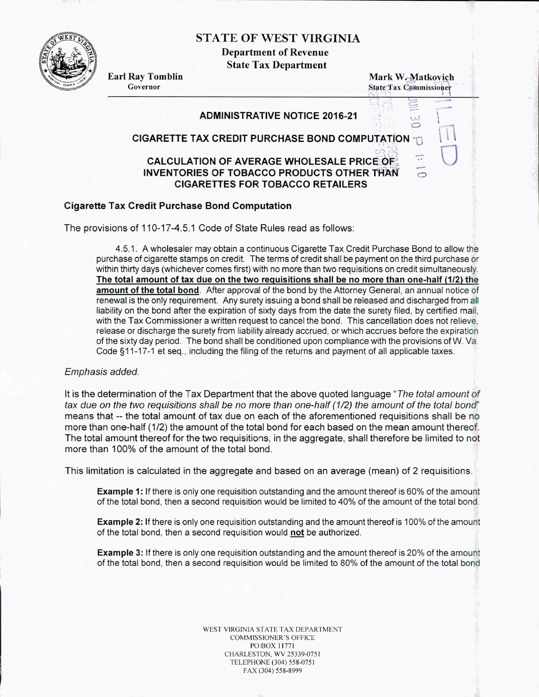STATE OF WEST VIRGINIA

Department of Revenue State Tax Department



**Earl Ray Tomblin**<br> **Governor**<br> **Governor**<br> **Governor**<br> **Governor State Tax Commissioner** 

> لعا  $\circ$

> > $\circ$

### **ADMINISTRATIVE NOTICE 2016-21**

# **CIGARETTE TAX CREDIT PURCHASE BOND COMPUTATION j**

## **CALCULATION OF AVERAGE WHOLESALE PRICE OF INVENTORIES OF TOBACCO PRODUCTS OTHER THAN CIGARETTES FOR TOBACCO RETAILERS**

#### **Cigarette Tax Credit Purchase Bond Computation**

The provisions of 110-17-4.5.1 Code of State Rules read as follows:

4.5.1. A wholesaler may obtain a continuous Cigarette Tax Credit Purchase Bond to allow the purchase of cigarette stamps on credit. The terms of credit shall be payment on the third purchase or within thirty days (whichever comes first) with no more than two requisitions on credit simultaneously. **The total amount of tax due on the two requisitions shall be no more than one-half (112) the amount of the total bond.** After approval of the bond by the Attorney General, an annual notice of renewal is the only requirement. Any surety issuing a bond shall be released and discharged from all liability on the bond after the expiration of sixty days from the date the surety filed, by certified mail, with the Tax Commissioner a written request to cancel the bond. This cancellation does not relieve, release or discharge the surety from liability already accrued, or which accrues before the expiration of the sixty day period. The bond shall be conditioned upon compliance with the provisions of W. Va Code §11-17-1 et seq., including the filing of the returns and payment of all applicable taxes.

#### Emphasis added.

It is the determination of the Tax Department that the above quoted language "The total amount of tax due on the two requisitions shall be no more than one-half (112) the amount of the total bond" means that -- the total amount of tax due on each of the aforementioned requisitions shall be no more than one-half (1/2) the amount of the total bond for each based on the mean amount therecf. The total amount thereof for the two requisitions, in the aggregate, shall therefore be limited to not more than 100% of the amount of the total bond.

This limitation is calculated in the aggregate and based on an average (mean) of 2 requisitions.

**Example** 1: If there is only one requisition outstanding and the amount thereof is 60% of the amount of the total bond, then a second requisition would be limited to 40% of the amount of the total bond.

**Example 2:** If there is only one requisition outstanding and the amount thereof is 100% of the amount of the total bond, then a second requisition would **not** be authorized.

**Example 3:** If there is only one requisition outstanding and the amount thereof is 20% of the amoun: of the total bond, then a second requisition would be limited to 80% of the amount of the total bond

> WEST VIRGINIA STATE TAX DEPARTMENT COMMISSIONER'S OFFICE PO BOX 11771 CHARLESTON. WV 25339-0751 TELEPHONE (304) 558-0751 FAX (304) 558-8999